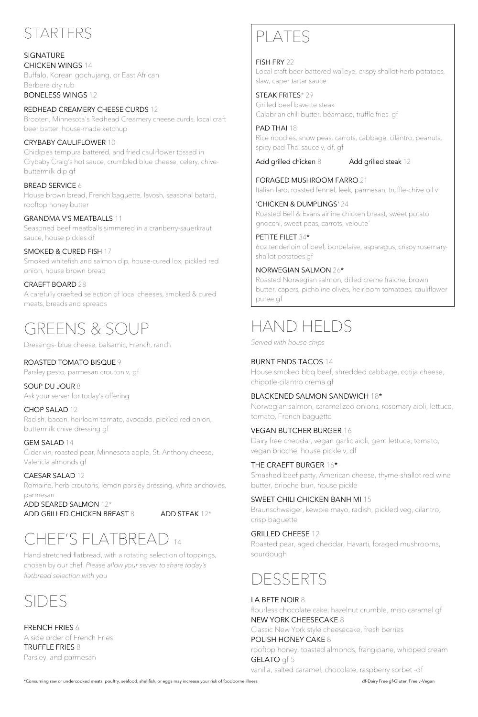

SIGNATURE CHICKEN WINGS 14 Buffalo, Korean gochujang, or East African Berbere dry rub BONELESS WINGS 12

REDHEAD CREAMERY CHEESE CURDS 12 Brooten, Minnesota's Redhead Creamery cheese curds, local craft beer batter, house-made ketchup

#### CRYBABY CAULIFLOWER 10

Chickpea tempura battered, and fried cauliflower tossed in Crybaby Craig's hot sauce, crumbled blue cheese, celery, chivebuttermilk dip gf

BREAD SERVICE 6

House brown bread, French baguette, lavosh, seasonal batard, rooftop honey butter

#### GRANDMA V'S MEATBALLS 11

Seasoned beef meatballs simmered in a cranberry-sauerkraut sauce, house pickles df

SMOKED & CURED FISH 17

Smoked whitefish and salmon dip, house-cured lox, pickled red onion, house brown bread

#### CRAEFT BOARD 28

A carefully craefted selection of local cheeses, smoked & cured meats, breads and spreads

# GREENS & SOUP<br>Dressings- blue cheese, balsamic, French, ranch

#### ROASTED TOMATO BISQUE 9

Parsley pesto, parmesan crouton v, gf

#### SOUP DU JOUR 8

Ask your server for today's offering

#### CHOP SALAD 12

Radish, bacon, heirloom tomato, avocado, pickled red onion, buttermilk chive dressing gf

#### GEM SALAD 14

Cider vin, roasted pear, Minnesota apple, St. Anthony cheese, Valencia almonds gf

#### CAESAR SALAD 12

Romaine, herb croutons, lemon parsley dressing, white anchovies, parmesan

ADD SEARED SALMON 12\* ADD GRILLED CHICKEN BREAST 8 ADD STEAK 12\*

### CHEF'S FLATBREAD <sup>14</sup>

Hand stretched flatbread, with a rotating selection of toppings, chosen by our chef. *Please allow your server to share today's flatbread selection with you*



#### FRENCH FRIES 6 A side order of French Fries

TRUFFLE FRIES 8 Parsley, and parmesan

## PLATES

FISH FRY 22 Local craft beer battered walleye, crispy shallot-herb potatoes, slaw, caper tartar sauce

STEAK FRITES\* 29 Grilled beef bavette steak Calabrian chili butter, béarnaise, truffle fries gf

PAD THAI 18 Rice noodles, snow peas, carrots, cabbage, cilantro, peanuts, spicy pad Thai sauce v, df, gf

Add grilled chicken 8 Add grilled steak 12

FORAGED MUSHROOM FARRO 21 Italian faro, roasted fennel, leek, parmesan, truffle-chive oil v

'CHICKEN & DUMPLINGS' 24 Roasted Bell & Evans airline chicken breast, sweet potato gnocchi, sweet peas, carrots, veloute´

PETITE FILET 34\* 6oz tenderloin of beef, bordelaise, asparagus, crispy rosemaryshallot potatoes gf

NORWEGIAN SALMON 26\*

Roasted Norwegian salmon, dilled creme fraiche, brown butter, capers, picholine olives, heirloom tomatoes, cauliflower puree gf

## HAND HELDS

*Served with house chips*

#### BURNT ENDS TACOS 14

House smoked bbq beef, shredded cabbage, cotija cheese, chipotle-cilantro crema gf

#### BLACKENED SALMON SANDWICH 18\*

Norwegian salmon, caramelized onions, rosemary aioli, lettuce, tomato, French baguette

#### VEGAN BUTCHER BURGER 16

Dairy free cheddar, vegan garlic aioli, gem lettuce, tomato, vegan brioche, house pickle v, df

#### THE CRAEFT BURGER 16\*

Smashed beef patty, American cheese, thyme-shallot red wine butter, brioche bun, house pickle

#### SWEET CHILI CHICKEN BANH MI 15

Braunschweiger, kewpie mayo, radish, pickled veg, cilantro, crisp baguette

GRILLED CHEESE 12

Roasted pear, aged cheddar, Havarti, foraged mushrooms, sourdough

### DESSERTS

#### LA BETE NOIR 8

flourless chocolate cake, hazelnut crumble, miso caramel gf NEW YORK CHEESECAKE 8 Classic New York style cheesecake, fresh berries

POLISH HONEY CAKE 8 rooftop honey, toasted almonds, frangipane, whipped cream GELATO gf 5

vanilla, salted caramel, chocolate, raspberry sorbet -df